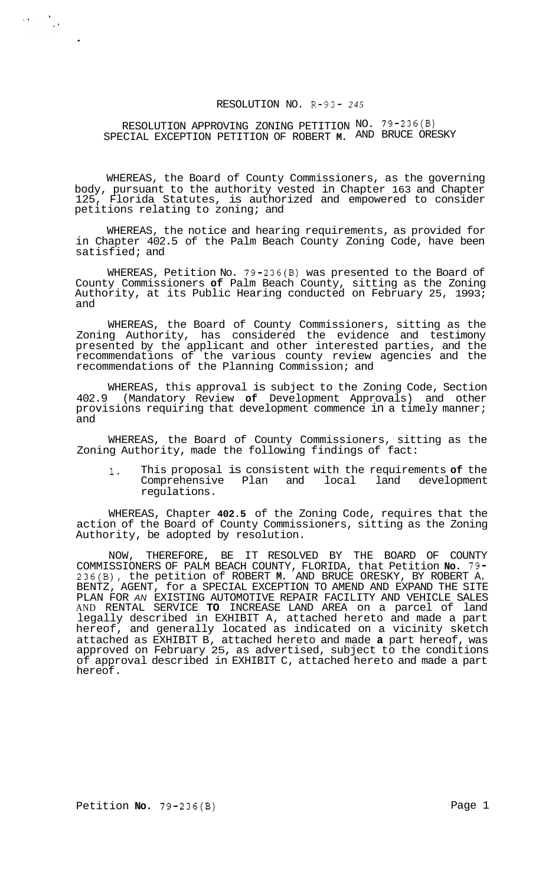### RESOLUTION NO. R-93- *245*

## RESOLUTION APPROVING ZONING PETITION NO. 79-236(B) SPECIAL EXCEPTION PETITION OF ROBERT **M.** AND BRUCE ORESKY

 $\label{eq:2} \mathcal{L}(\mathbf{A}) = \frac{\mathcal{L}(\mathbf{A})}{\mathcal{L}(\mathbf{A})}$ 

WHEREAS, the Board of County Commissioners, as the governing body, pursuant to the authority vested in Chapter 163 and Chapter 125, Florida Statutes, is authorized and empowered to consider petitions relating to zoning; and

WHEREAS, the notice and hearing requirements, as provided for in Chapter 402.5 of the Palm Beach County Zoning Code, have been satisfied; and

WHEREAS, Petition No. 79-236(B) was presented to the Board of County Commissioners **of** Palm Beach County, sitting as the Zoning Authority, at its Public Hearing conducted on February 25, 1993; and

WHEREAS, the Board of County Commissioners, sitting as the Zoning Authority, has considered the evidence and testimony presented by the applicant and other interested parties, and the recommendations of the various county review agencies and the recommendations of the Planning Commission; and

WHEREAS, this approval is subject to the Zoning Code, Section 402.9 (Mandatory Review **of** Development Approvals) and other provisions requiring that development commence in a timely manner; and

WHEREAS, the Board of County Commissioners, sitting as the Zoning Authority, made the following findings of fact:

**1.** This proposal is consistent with the requirements **of** the Comprehensive Plan and local land development regulations.

WHEREAS, Chapter **402.5** of the Zoning Code, requires that the action of the Board of County Commissioners, sitting as the Zoning Authority, be adopted by resolution.

NOW, THEREFORE, BE IT RESOLVED BY THE BOARD OF COUNTY COMMISSIONERS OF PALM BEACH COUNTY, FLORIDA, that Petition **No.** 79- 236(B), the petition of ROBERT **M.** AND BRUCE ORESKY, BY ROBERT A. BENTZ, AGENT, for a SPECIAL EXCEPTION TO AMEND AND EXPAND THE SITE PLAN FOR *AN* EXISTING AUTOMOTIVE REPAIR FACILITY AND VEHICLE SALES AND RENTAL SERVICE **TO** INCREASE LAND AREA on a parcel of land legally described in EXHIBIT A, attached hereto and made a part hereof, and generally located as indicated on a vicinity sketch attached as EXHIBIT B, attached hereto and made **a** part hereof, was approved on February 25, as advertised, subject to the conditions of approval described in EXHIBIT C, attached hereto and made a part hereof.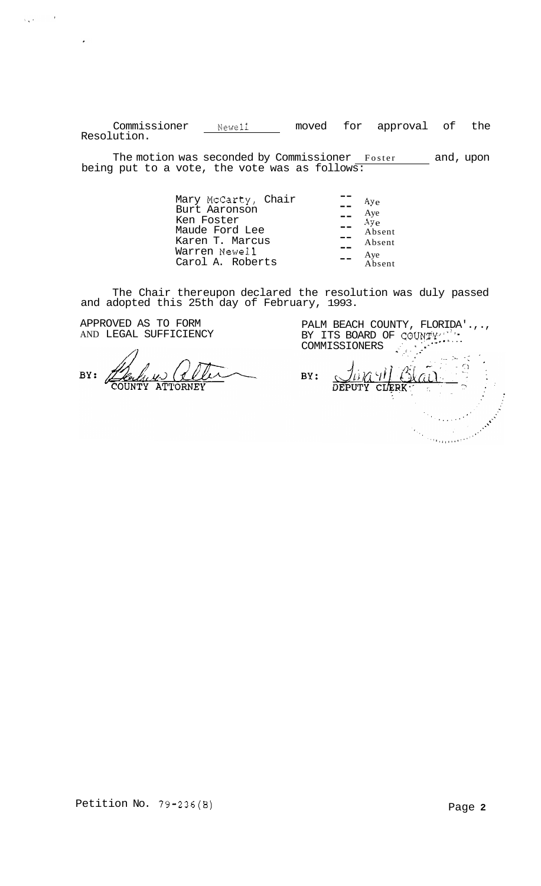Commissioner **Newell** moved for approval of the Resolution.

The motion was seconded by Commissioner Foster \_\_\_\_\_ and, upon being put to a vote, the vote was as follows:

| Ay <sub>e</sub> |
|-----------------|
| Aye             |
| Aye             |
| Absent          |
| Absent          |
| Aye             |
| Absent          |
|                 |

The Chair thereupon declared the resolution was duly passed and adopted this 25th day of February, 1993.

APPROVED AS TO FORM AND LEGAL SUFFICIENCY

 $\chi_{\mathbf{q}}(\mathbf{r}) = -\frac{1}{2} \mathbf{r}^{\top}$ 

 $\mathcal{L}_{\mathcal{A}}$ 

BY:

PALM BEACH COUNTY, FLORIDA'.,., BY ITS BOARD OF COUNTY''... PALM BEACH COUNTY, FLORIDA'<br>BY ITS BOARD OF COUNTY'...<br>COMMISSIONERS

 $\frac{1}{2}$ JURY BLAI BY: Marian Maria Santa S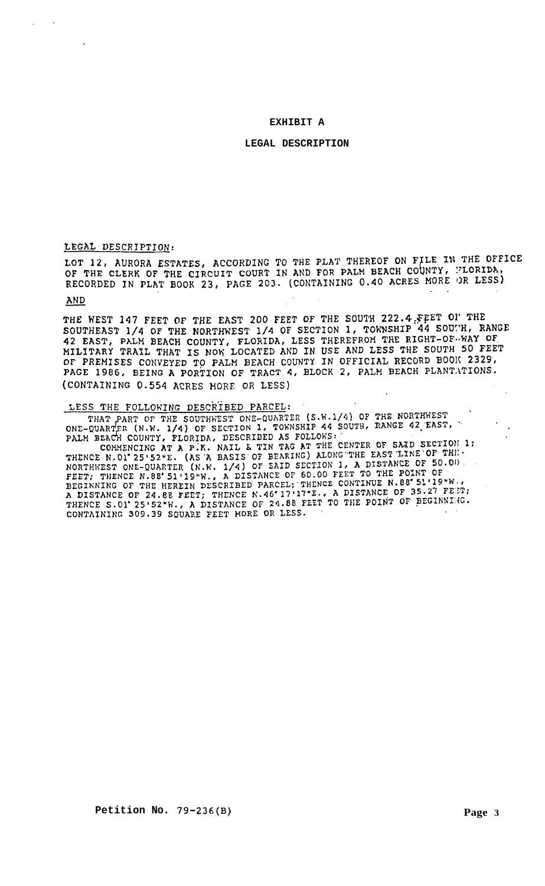#### **EXHIBIT A**

#### **LEGAL DESCRIPTION**

#### LEGAL DESCRIPTION:

LOT 12, AURORA ESTATES, ACCORDING TO THE PLAT THEREOF ON FILE IN THE OFFICE OF THE CLERK OF THE CIRCUIT COURT IN AND FOR PALM BEACH COUNTY, FLORIDA, RECORDED IN PLAT BOOK 23, PAGE 203. (CONTAINING 0.40 ACRES MORE OR LESS)

#### AND

 $\overline{a}$ 

THE WEST 147 FEET OF THE EAST 200 FEET OF THE SOUTH 222.4 FEET OF THE SOUTHEAST 1/4 OF THE NORTHWEST 1/4 OF SECTION 1, TOWNSHIP 44 SOUTH, RANGE 42 EAST, PALM BEACH COUNTY, FLORIDA, LESS THEREFROM THE RIGHT-OF-WAY OF MILITARY TRAIL THAT IS NOW LOCATED AND IN USE AND LESS THE SOUTH 50 FEET OF PREMISES CONVEYED TO PALM BEACH COUNTY IN OFFICIAL RECORD BOOK 2329, PAGE 1986, BEING A PORTION OF TRACT 4, BLOCK 2, PALM BEACH PLANTATIONS. (CONTAINING 0.554 ACRES MORE OR LESS)

# LESS THE FOLLOWING DESCRIBED PARCEL:

THAT PART OF THE SOUTHWEST ONE-QUARTER (S.W.1/4) OF THE NORTHWEST THAT PART OF THE SOUTHWEST ONE-QUARTER (S.W.1/4) OF THE NONTHILEST<br>ONE-QUARTER (N.W. 1/4) OF SECTION 1, TOWNSHIP 44 SOUTH, RANGE 42 EAST,

ONE-QUARTER (N.W. 1/4) OF SECTION 1, TONNSHIP 44 SOUTH, ARNOL 32 SHEPT<br>PALM BEACH COUNTY, FLORIDA, DESCRIBED AS FOLLOWS:<br>COMMENCING AT A P.K. NAIL & TIN TAG AT THE CENTER OF SAID SECTION 1; COMMENCING AT A P.K. NAIL & TIN TAG AT THE CENTER OF SAID SECTION 1:<br>THENCE N.O1'25'52"E. (AS 'A BASIS' OF BEARING) ALONG THE EAST LINE OF THE.<br>NORTHWEST ONE-QUARTER (N.K. 1/4) OF SAID SECTION 1, A DISTANCE OF 50.00).<br>FEET CONTAINING 309.39 SQUARE FEET HORE OR LESS.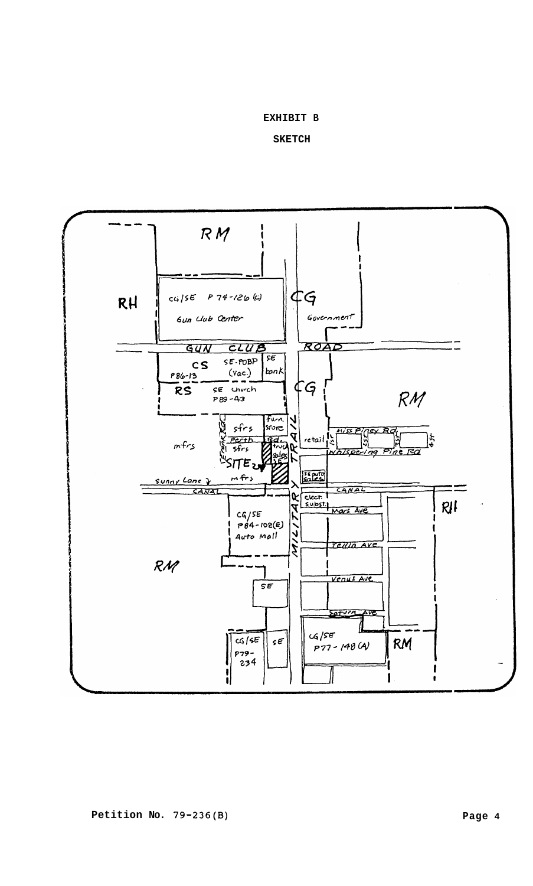#### **EXHIBIT B**

**SKETCH** 

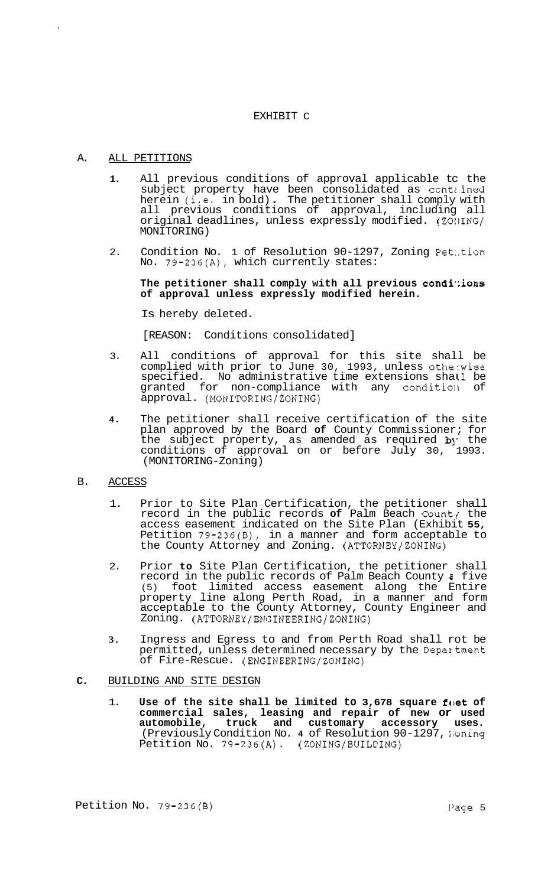#### EXHIBIT C

## A. ALL PETITIONS

- **1.**  All previous conditions of approval applicable tc the subject property have been consolidated as contz.ined herein (i.e. in bold) . The petitioner shall comply with all previous conditions of approval, including all original deadlines, unless expressly modified. (ZOllING/ MONITORING)
- 2. Condition No. 1 of Resolution 90-1297, Zoning Pet:.tion No. 79-236(A), which currently states:

### **The petitioner shall comply with all previous condi';ions of approval unless expressly modified herein.**

Is hereby deleted.

[REASON: Conditions consolidated]

- 3. All conditions of approval for this site shall be complied with prior to June 30, 1993, unless otherwise specified. No administrative time extensions shall be granted for non-compliance with any condition of approval. (MONITORING/ZONING)
- **4.**  The petitioner shall receive certification of the site plan approved by the Board **of** County Commissioner; for the subject property, as amended as required by the conditions of approval on or before July 30, 1993. (MONITORING-Zoning)
- B. ACCESS
	- 1. Prior to Site Plan Certification, the petitioner shall record in the public records **of** Palm Beach Count? the access easement indicated on the Site Plan (Exhibit **55,**  Petition 79-236(B), in a manner and form acceptable to the County Attorney and Zoning. (ATTORNEY/ZONING)
	- 2. Prior **to** Site Plan Certification, the petitioner shall record in the public records of Palm Beach County **2** five (5) foot limited access easement along the Entire property line along Perth Road, in a manner and form acceptable to the County Attorney, County Engineer and Zoning. **(ATTORNEY/ENGINEERING/ZONING)**
	- **3.** Ingress and Egress to and from Perth Road shall rot be permitted, unless determined necessary by the Depaxtment of Fire-Rescue. (ENGINEERING/ZONING)

### **C.** BUILDING AND SITE DESIGN

1. **Use of the site shall be limited to 3,678 square fact of commercial sales, leasing and repair of new or used automobile, truck and customary accessory uses.**  (Previously Condition No. 4 of Resolution 90-1297, Moning Petition No. 79-236(A). (ZONING/BUILDING)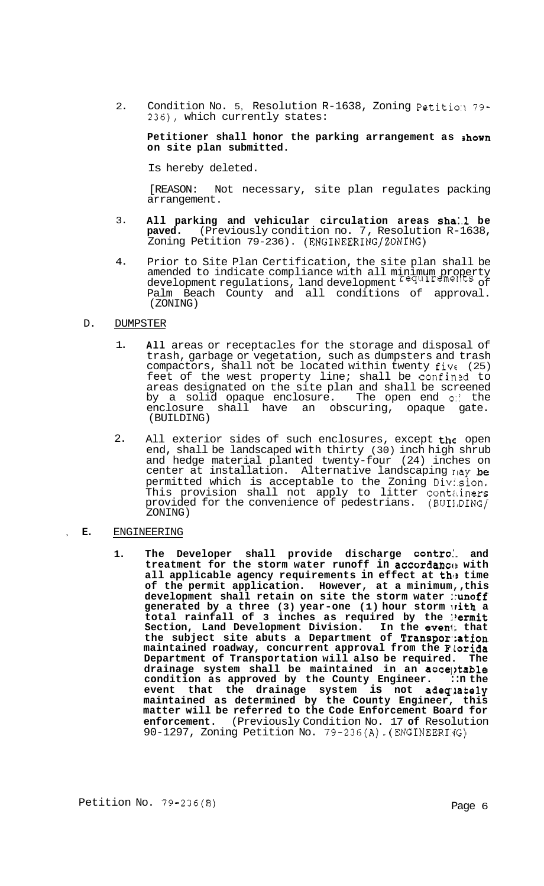$2.$ Condition No. 5, Resolution R-1638, Zoning Petition 79-236), which currently states:

### **Petitioner shall honor the parking arrangement as shown on site plan submitted.**

Is hereby deleted.

[REASON: Not necessary, site plan regulates packing arrangement.

- 3. All parking and vehicular circulation areas shail be **paved.** (Previously condition no. 7, Resolution R-1638, Zoning Petition 79-236). (ENGINEERING/ZONING)
- 4. Prior to Site Plan Certification, the site plan shall be amended to indicate compliance with all minimum property development regulations, land development requirements of Palm Beach County and all conditions of approval. (ZONING)

#### D. DUMPSTER

- 1. **All** areas or receptacles for the storage and disposal of trash, garbage or vegetation, such as dumpsters and trash compactors, shall not be located within twenty fivc (25) feet of the west property line; shall be confined to areas designated on the site plan and shall be screened by a solid opaque enclosure. The open end of the enclosure shall have an obscuring, opaque gate. (BUILDING)
- $2.5$ All exterior sides of such enclosures, except the open end, shall be landscaped with thirty (30) inch high shrub and hedge material planted twenty-four (24) inches on center at installation. Alternative landscaping nay be permitted which is acceptable to the Zoning Division. This provision shall not apply to litter contiliners provided for the convenience of pedestrians. (BUII,DING/ ZONING)

### , **E.** ENGINEERING

**1. The Developer shall provide discharge contro:. and treatment for the storm water runoff in accordancc! with**  all applicable agency requirements in effect at the time **of the permit application. However, at a minimum,, this development shall retain on site the storm water ::unoff generated by a three (3) year-one (1) hour storm irith a total rainfall of 3 inches as required by the :?ermit Section, Land Development Division. In the evenl; that the subject site abuts a Department of Transpor<;ation maintained roadway, concurrent approval from the FLorida**  Department of Transportation will also be required. drainage system shall be maintained in an acceptable **condition as approved by the County Engineer. ::n the event that the drainage system is not adegaately maintained as determined by the County Engineer, this matter will be referred to the Code Enforcement Board for enforcement.** (Previously Condition No. 17 **of** Resolution 90-1297, Zoning Petition No.  $79-236(A)$ . (ENGINEERI'G)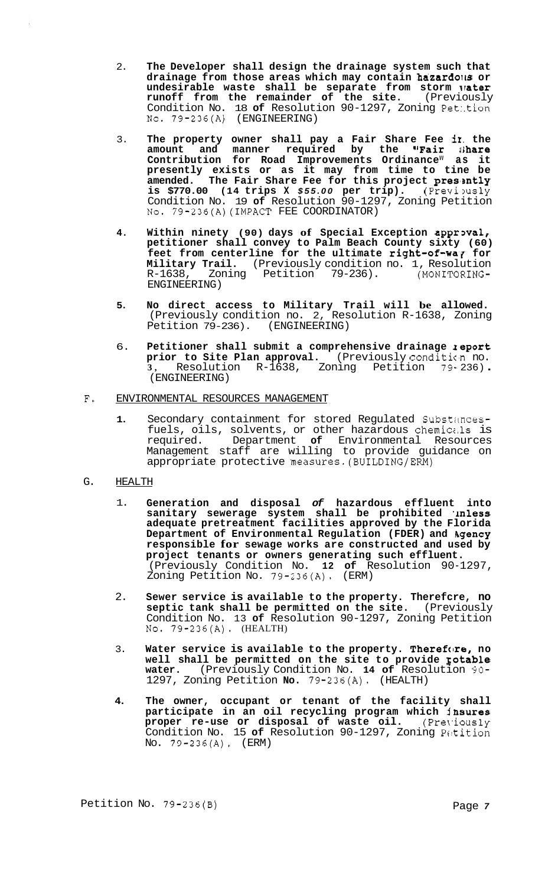- 2. **The Developer shall design the drainage system such that drainage from those areas which may contain hazardoils or undesirable waste shall be separate from storm lrater runoff from the remainder of the site.** (Previously Condition No. 18 **of** Resolution 90-1297, Zoning Pet:.tion **No.** 79-236(A) (ENGINEERING)
- 3. **The property owner shall pay a Fair Share Fee ir. the amount and manner required by the "Fair rihare**  Contribution for Road Improvements Ordinance<sup>w</sup> as it **presently exists or as it may from time to tine be**  amended. The Fair Share Fee for this project presently **is \$770.00 (14 trips X \$55.00 per trip).** (Previpusly Condition No. 19 **of** Resolution 90-1297, Zoning Petition No. 79-236(A)(IMPACT FEE COORDINATOR)
- **4.** Within ninety (90) days of Special Exception approval, **petitioner shall convey to Palm Beach County sixty (60) feet from centerline for the ultimate right-of-war for Military Trail.** (Previously condition no. 1, Resolution R-1638, Zoning Petition 79-236). (MONITORING-R-1638, Zoning Petition 79-236). ENGINEERING)
- **5. No direct access to Military Trail will be allowed.**  (Previously condition no. 2, Resolution R-1638, Zoning Petition 79-236). (ENGINEERING)
- 6. **Petitioner shall submit a comprehensive drainage zeport**  prior to Site Plan approval. (Previously condition no. **3,** Resolution R-1638, Zoning Petition 79- 236) . (ENGINEERING)
- **F.** ENVIRONMENTAL RESOURCES MANAGEMENT
	- **1.** Secondary containment for stored Regulated Substimcesfuels, oils, solvents, or other hazardous chemici.1s is required. Department **of** Environmental Resources Management staff are willing to provide guidance on appropriate protective measures.(BUILDING/ERM)
- G. HEALTH
	- 1. **Generation and disposal** *of* **hazardous effluent into sanitary sewerage system shall be prohibited ,Inless adequate pretreatment facilities approved by the Florida**  Department of Environmental Regulation (FDER) and Agency **responsible for sewage works are constructed and used by project tenants or owners generating such effluent.**  (Previously Condition No. **12 of** Resolution 90-1297, Zoning Petition No. 79-236(A). (ERM)
	- 2. **Sewer service is available to the property. Therefcre, no septic tank shall be permitted on the site.** (Previously Condition No. 13 **of** Resolution 90-1297, Zoning Petition No. 79-236(A). (HEALTH)
	- 3. **Water service is available to the property. Therefore, no well shall be permitted on the site to provide Eotable water.** (Previously Condition No. **14 of** Resolution 90- 1297, Zoning Petition **No.** 79-236(A). (HEALTH)
	- **4. The owner, occupant or tenant of the facility shall participate in an oil recycling program which insures proper re-use or disposal of waste oil.** (Previously Condition No. 15 **of** Resolution 90-1297, Zoning Pctition No. 79-236(A). (ERM)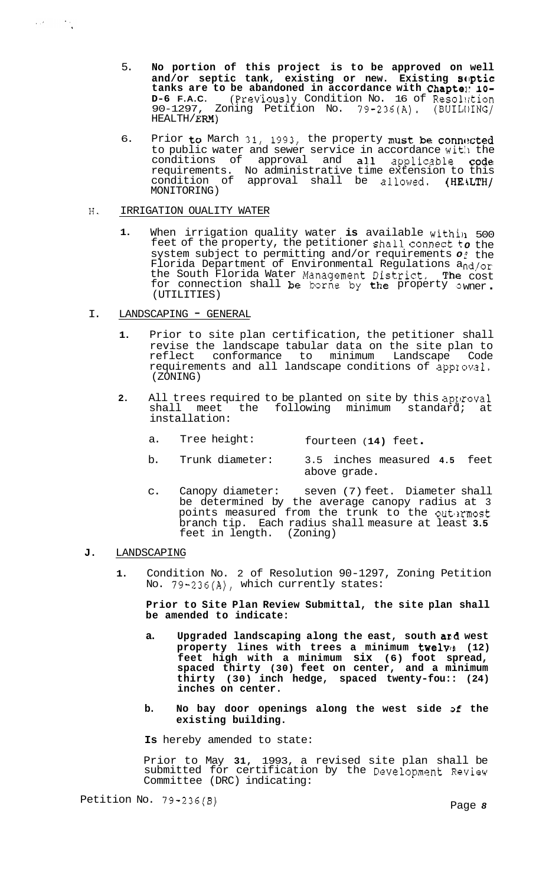- 5. **No portion of this project is to be approved on well**  and/or septic tank, existing or new. Existing SOptic **tanks are to be abandoned in accordance with Chaptel: 10- D-6 F.A.C.** (Previously Condition No. 16 of Resolution Zoning Petition No.  $79-236(A)$ . (BUILI)ING/ 90-1297, Z<br>HEALTH/ **ERM**)
- 6. Prior to March 31, 1993, the property must be connected to public water and sewer service in accordance with the conditions of approval and all applicable code requirements. No administrative time extension to this condition of approval shall be allowed. (HEALTH/ MONITORING)

#### H. IRRIGATION OUALITY WATER

 $\label{eq:2} \mathcal{L}_{\mathcal{A}}(\mathcal{C}) = \mathcal{L}_{\mathcal{A}}(\mathcal{C})$ 

- **1.** When irrigation quality water **is** available within 500 feet of the property, the petitioner shall connect to the system subject to permitting and/or requirements of Florida Department of Environmental Regulations a the South Florida Water Management District. The for connection shall be borne by the property ow (UTILITIES) € the nd/or cost wner .
- I. LANDSCAPING GENERAL
	- **1.** Prior to site plan certification, the petitioner shall revise the landscape tabular data on the site plan to<br>reflect conformance to minimum Landscape Code reflect conformance to minimum Landscape requirements and all landscape conditions of approval. (ZONING)
	- **2.** All trees required to be planted on site by this approval shall meet the following minimum standard; at installation:
		- a. Tree height: fourteen ( **14)** feet .
		- b. Trunk diameter: 3.5 inches measured **4.5** feet above grade.
		- c. Canopy diameter: seven (7) feet. Diameter shall be determined by the average canopy radius at 3 points measured from the trunk to the outermost branch tip. Each radius shall measure at least **3.5**  feet in length. (Zoning)

#### **J.** LANDSCAPING

**1.** Condition No. 2 of Resolution 90-1297, Zoning Petition No. 79-236(A), which currently states:

**Prior to Site Plan Review Submittal, the site plan shall be amended to indicate:** 

- **a. Upgraded landscaping along the east, south ard west**  property lines with trees a minimum twelve (12) **feet high with a minimum six (6) foot spread, spaced thirty (30) feet on center, and a minimum thirty (30) inch hedge, spaced twenty-fou:: (24) inches on center.**
- **b. No bay door openings along the west side 3f the existing building.**

**Is** hereby amended to state:

Prior to May **31,** 1993, a revised site plan shall be submitted for certification by the Development Review Committee (DRC) indicating: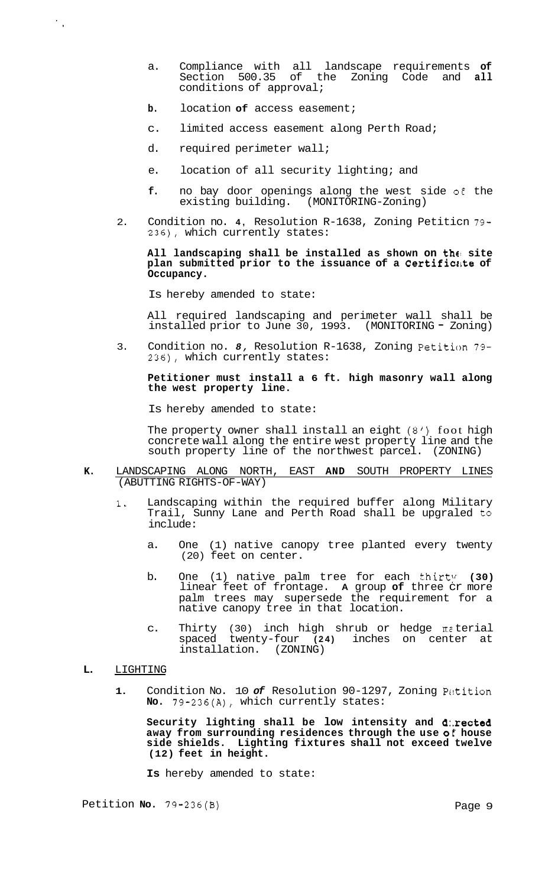- a. Compliance with all landscape requirements **of**  Section 500.35 of the Zoning Code and **all**  conditions of approval;
- **b.** location **of** access easement;
- c. limited access easement along Perth Road;
- d. required perimeter wall;
- e. location of all security lighting; and
- **f.** no bay door openings along the west side of the existing building. (MONITORING-Zoning)
- 2. Condition no. **4,** Resolution R-1638, Zoning Petiticn 79- 236), which currently states:

#### **All landscaping shall be installed as shown on the! site**  plan submitted prior to the issuance of a Certificate of **Occupancy.**

Is hereby amended to state:

All required landscaping and perimeter wall shall be installed prior to June 30, 1993. (MONITORING - Zoning)

3. Condition no. *8,* Resolution R-1638, Zoning Petition 79- 236), which currently states:

**Petitioner must install a 6 ft. high masonry wall along the west property line.** 

Is hereby amended to state:

The property owner shall install an eight *(8')* foot high concrete wall along the entire west property line and the south property line of the northwest parcel. (ZONING)

- **K.** LANDSCAPING ALONG NORTH, EAST **AND** SOUTH PROPERTY LINES (ABUTTING RIGHTS-OF-WAY)
	- **1.** Landscaping within the required buffer along Military Trail, Sunny Lane and Perth Road shall be upgraled to include:
		- a. One (1) native canopy tree planted every twenty (20) feet on center.
		- b. One (1) native palm tree for each thirty (30) linear feet of frontage. **A** group **of** three cr more palm trees may supersede the requirement for a native canopy tree in that location.
		- c. Thirty (30) inch high shrub or hedge mz terial spaced twenty-four **(24)** inches on center at installation. (ZONING)
- **L.** LIGHTING

 $\frac{1}{\sqrt{2}}$ 

1. Condition No. 10 of Resolution 90-1297, Zoning Petition **No.** 79-236(A), which currently states:

**Security lighting shall be low intensity and d:.rected**  away from surrounding residences through the use of house **side shields. Lighting fixtures shall not exceed twelve (12) feet in height.** 

**Is** hereby amended to state: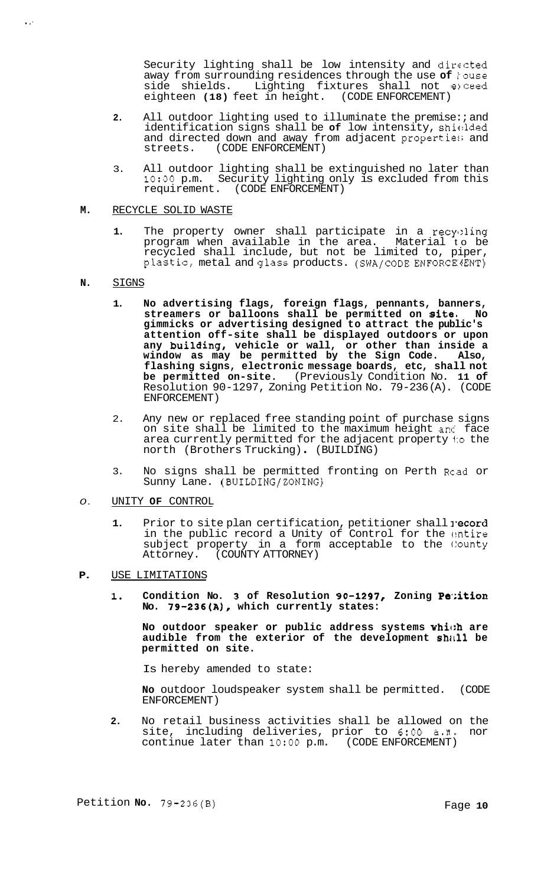Security lighting shall be low intensity and dirccted away from surrounding residences through the use **of** kouse side shields. Lighting fixtures shall not exceed<br>eighteen (18) feet in height. (CODE ENFORCEMENT) eighteen (18) feet in height.

- **2.** All outdoor lighting used to illuminate the premise:; and identification signs shall be **of** low intensity, shicllded and directed down and away from adjacent properties and streets. (CODE ENFORCEMENT)
- 3. All outdoor lighting shall be extinguished no later than **1O:OO** p.m. Security lighting only is excluded from this requirement. (CODE ENFORCEMENT)

#### **M.** RECYCLE SOLID WASTE

1. The property owner shall participate in a recyoling program when available in the area. Material to be recycled shall include, but not be limited to, piper, plastic, metal and glass products. (SWA/CODE ENFORCE3ENT)

#### **N.** SIGNS

<sup>I</sup>.'

- **1. No advertising flags, foreign flags, pennants, banners, streamers or balloons shall be permitted on site, No gimmicks or advertising designed to attract the public's attention off-site shall be displayed outdoors or upon any building, vehicle or wall, or other than inside a window as may be permitted by the Sign Code. Also, flashing signs, electronic message boards, etc, shall not be permitted on-site.** (Previously Condition No. **11 of**  Resolution 90-1297, Zoning Petition No. 79-236 (A). (CODE ENFORCEMENT)
- 2. Any new or replaced free standing point of purchase signs on site shall be limited to the maximum height and face area currently permitted for the adjacent property l:o the north (Brothers Trucking) . (BUILDING)
- 3. No signs shall be permitted fronting on Perth Rcad or Sunny Lane. (BUILDING/ZONING)

## *0.* UNITY **OF** CONTROL

- **1.** Prior to site plan certification, petitioner shall yecord in the public record a Unity of Control for the ontire subject property in a form acceptable to the County<br>Attorney. (COUNTY ATTORNEY) (COUNTY ATTORNEY)
- **P.** USE LIMITATIONS
	- 1. Condition No. 3 of Resolution 90-1297, Zoning Petition **No. 79-236(A), which currently states:**

**No outdoor speaker or public address systems whic:h are audible from the exterior of the development shrtll be permitted on site.** 

Is hereby amended to state:

**No** outdoor loudspeaker system shall be permitted. (CODE ENFORCEMENT)

**2.** No retail business activities shall be allowed on the site, including deliveries, prior to **6:OO** a.n. nor continue later than **1O:OO** p.m. (CODE ENFORCEMENT)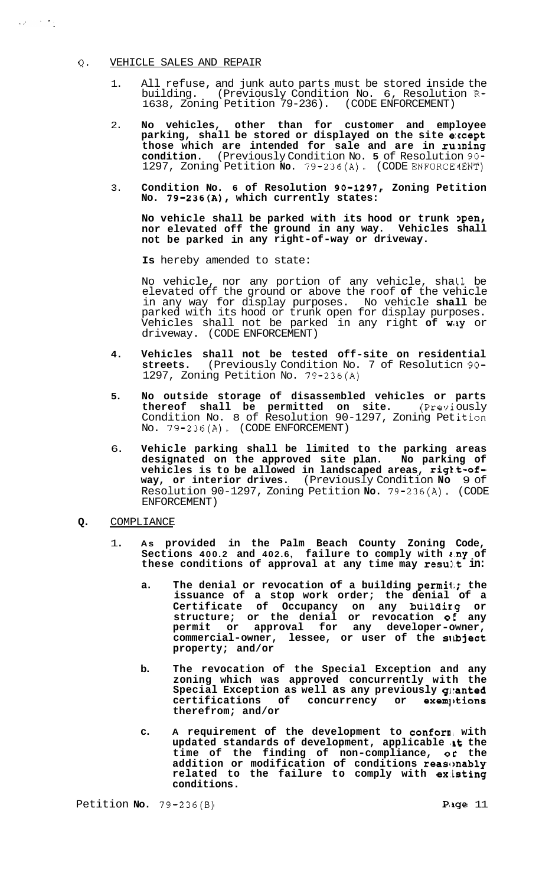- **Q.** VEHICLE SALES AND REPAIR
	- 1. All refuse, and junk auto parts must be stored inside the building. (Previously Condition No. 6, Resolution R-1638, Zoning Petition 79-236). (CODE ENFORCEMENT)
	- 2. **No vehicles, other than for customer and employee parking, shall be stored or displayed on the site e:ccept those which are intended for sale and are in ruming condition.** (Previously Condition No. **5** of Resolution **90-**  1297, Zoning Petition **No.** 79-236(A). (CODE ENFORCEdENT)
	- 3. **Condition No. 6 of Resolution 90-1297, Zoning Petition No. 79-236(A), which currently states:**

**No vehicle shall be parked with its hood or trunk pen, nor elevated off the ground in any way. Vehicles shall not be parked in any right-of-way or driveway.** 

**Is** hereby amended to state:

No vehicle, nor any portion of any vehicle, shall be elevated off the ground or above the roof **of** the vehicle in any way for display purposes. No vehicle **shall** be parked with its hood or trunk open for display purposes. Vehicles shall not be parked in any right **of way** or driveway. (CODE ENFORCEMENT)

- **4. Vehicles shall not be tested off-site on residential streets.** (Previously Condition No. 7 of Resoluticn 90- 1297, Zoning Petition No. 79-236(A)
- **5. No outside storage of disassembled vehicles or parts thereof shall be permitted on site.** (Previ ously Condition No. 8 of Resolution 90-1297, Zoning Pet ition No. 79-236(A). (CODE ENFORCEMENT)
- 6. **Vehicle parking shall be limited to the parking areas designated on the approved site plan. No parking of vehicles is to be allowed in landscaped areas, rig€t-ofway, or interior drives.** (Previously Condition **No** 9 of Resolution 90-1297, Zoning Petition **No.** 79-236(A). (CODE ENFORCEMENT)
- **Q.** COMPLIANCE
	- 1. **As provided in the Palm Beach County Zoning Code, Sections 400.2 and 402.6, failure to comply with z.ny of**  these conditions of approval at any time may result in:
		- **a. The denial or revocation of a building permil;; the issuance of a stop work order; the denial of a Certificate of Occupancy on any buildirg or structure; or the denial or revocation o€ any permit or approval for any developer-owner, commercial-owner, lessee, or user of the silbject property; and/or**
		- **b. The revocation of the Special Exception and any zoning which was approved concurrently with the**  Special Exception as well as any previously granted certifications of concurrency or exemptions **therefrom; and/or**
		- **c. A requirement of the development to confom with**  updated standards of development, applicable at the **time of the finding of non-compliance, or the addition or modification of conditions reascmably related to the failure to comply with ex.isting conditions.**